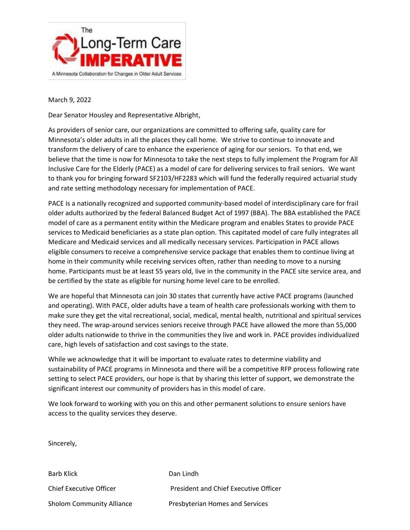

March 9, 2022

Dear Senator Housley and Representative Albright,

As providers of senior care, our organizations are committed to offering safe, quality care for Minnesota's older adults in all the places they call home. We strive to continue to innovate and transform the delivery of care to enhance the experience of aging for our seniors. To that end, we believe that the time is now for Minnesota to take the next steps to fully implement the Program for All Inclusive Care for the Elderly (PACE) as a model of care for delivering services to frail seniors. We want to thank you for bringing forward SF2103/HF2283 which will fund the federally required actuarial study and rate setting methodology necessary for implementation of PACE.

PACE is a nationally recognized and supported community-based model of interdisciplinary care for frail older adults authorized by the federal Balanced Budget Act of 1997 (BBA). The BBA established the PACE model of care as a permanent entity within the Medicare program and enables States to provide PACE services to Medicaid beneficiaries as a state plan option. This capitated model of care fully integrates all Medicare and Medicaid services and all medically necessary services. Participation in PACE allows eligible consumers to receive a comprehensive service package that enables them to continue living at home in their community while receiving services often, rather than needing to move to a nursing home. Participants must be at least 55 years old, live in the community in the PACE site service area, and be certified by the state as eligible for nursing home level care to be enrolled.

We are hopeful that Minnesota can join 30 states that currently have active PACE programs (launched and operating). With PACE, older adults have a team of health care professionals working with them to make sure they get the vital recreational, social, medical, mental health, nutritional and spiritual services they need. The wrap-around services seniors receive through PACE have allowed the more than 55,000 older adults nationwide to thrive in the communities they live and work in. PACE provides individualized care, high levels of satisfaction and cost savings to the state.

While we acknowledge that it will be important to evaluate rates to determine viability and sustainability of PACE programs in Minnesota and there will be a competitive RFP process following rate setting to select PACE providers, our hope is that by sharing this letter of support, we demonstrate the significant interest our community of providers has in this model of care.

We look forward to working with you on this and other permanent solutions to ensure seniors have access to the quality services they deserve.

Sincerely,

Barb Klick Dan Lindh Chief Executive Officer President and Chief Executive Officer Sholom Community Alliance Presbyterian Homes and Services